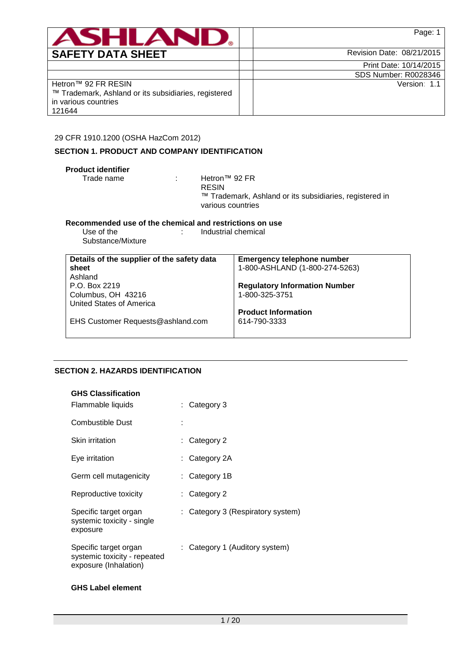

|  | Print Date: 10/14/2015      |
|--|-----------------------------|
|  | <b>SDS Number: R0028346</b> |
|  | Version: 1.1                |

Hetron™ 92 FR RESIN ™ Trademark, Ashland or its subsidiaries, registered in various countries 121644

29 CFR 1910.1200 (OSHA HazCom 2012)

# **SECTION 1. PRODUCT AND COMPANY IDENTIFICATION**

| <b>Product identifier</b><br>Trade name                 | Hetron™ 92 FR<br>÷<br><b>RESIN</b><br>various countries | ™ Trademark, Ashland or its subsidiaries, registered in |
|---------------------------------------------------------|---------------------------------------------------------|---------------------------------------------------------|
| Recommended use of the chemical and restrictions on use |                                                         |                                                         |
| Use of the<br>Substance/Mixture                         | : Industrial chemical                                   |                                                         |
|                                                         |                                                         |                                                         |
| Details of the supplier of the safety data              |                                                         | <b>Emergency telephone number</b>                       |
| sheet                                                   |                                                         | 1-800-ASHLAND (1-800-274-5263)                          |
| Ashland                                                 |                                                         |                                                         |
| P.O. Box 2219                                           |                                                         | <b>Regulatory Information Number</b>                    |
| Columbus, OH 43216                                      |                                                         | 1-800-325-3751                                          |
| United States of America                                |                                                         |                                                         |
|                                                         |                                                         | <b>Product Information</b>                              |
| EHS Customer Requests@ashland.com                       |                                                         | 614-790-3333                                            |

# **SECTION 2. HAZARDS IDENTIFICATION**

| <b>GHS Classification</b><br>Flammable liquids                                 | : Category 3                      |
|--------------------------------------------------------------------------------|-----------------------------------|
| Combustible Dust                                                               |                                   |
| Skin irritation                                                                | : Category 2                      |
| Eye irritation                                                                 | : Category 2A                     |
| Germ cell mutagenicity                                                         | : Category 1B                     |
| Reproductive toxicity                                                          | $:$ Category 2                    |
| Specific target organ<br>systemic toxicity - single<br>exposure                | : Category 3 (Respiratory system) |
| Specific target organ<br>systemic toxicity - repeated<br>exposure (Inhalation) | : Category 1 (Auditory system)    |
|                                                                                |                                   |

# **GHS Label element**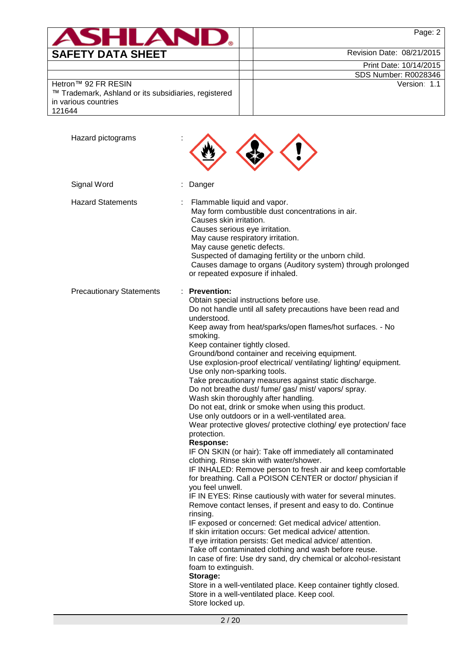|                          | Page: 2                   |
|--------------------------|---------------------------|
| <b>SAFETY DATA SHEET</b> | Revision Date: 08/21/2015 |

|  | Print Date: 10/14/2015 |
|--|------------------------|
|  |                        |

SDS Number: R0028346 Version: 1.1

Hetron™ 92 FR RESIN

| ™ Trademark, Ashland or its subsidiaries, registered |  |
|------------------------------------------------------|--|
| in various countries                                 |  |
| 121644                                               |  |

| Hazard pictograms               |                                                                                                                                                                                                                                                                                                                                                                                                                                                                                                                                                                                                                                                                                                                                                                                                                                                                                                                                                                                                                                                                                                                                                                                                                                                                                                                                                                                                                                                                                                                                                                                                                                                                                             |
|---------------------------------|---------------------------------------------------------------------------------------------------------------------------------------------------------------------------------------------------------------------------------------------------------------------------------------------------------------------------------------------------------------------------------------------------------------------------------------------------------------------------------------------------------------------------------------------------------------------------------------------------------------------------------------------------------------------------------------------------------------------------------------------------------------------------------------------------------------------------------------------------------------------------------------------------------------------------------------------------------------------------------------------------------------------------------------------------------------------------------------------------------------------------------------------------------------------------------------------------------------------------------------------------------------------------------------------------------------------------------------------------------------------------------------------------------------------------------------------------------------------------------------------------------------------------------------------------------------------------------------------------------------------------------------------------------------------------------------------|
| Signal Word                     | Danger                                                                                                                                                                                                                                                                                                                                                                                                                                                                                                                                                                                                                                                                                                                                                                                                                                                                                                                                                                                                                                                                                                                                                                                                                                                                                                                                                                                                                                                                                                                                                                                                                                                                                      |
| <b>Hazard Statements</b>        | Flammable liquid and vapor.<br>May form combustible dust concentrations in air.<br>Causes skin irritation.<br>Causes serious eye irritation.<br>May cause respiratory irritation.<br>May cause genetic defects.<br>Suspected of damaging fertility or the unborn child.<br>Causes damage to organs (Auditory system) through prolonged<br>or repeated exposure if inhaled.                                                                                                                                                                                                                                                                                                                                                                                                                                                                                                                                                                                                                                                                                                                                                                                                                                                                                                                                                                                                                                                                                                                                                                                                                                                                                                                  |
| <b>Precautionary Statements</b> | <b>Prevention:</b><br>Obtain special instructions before use.<br>Do not handle until all safety precautions have been read and<br>understood.<br>Keep away from heat/sparks/open flames/hot surfaces. - No<br>smoking.<br>Keep container tightly closed.<br>Ground/bond container and receiving equipment.<br>Use explosion-proof electrical/ ventilating/ lighting/ equipment.<br>Use only non-sparking tools.<br>Take precautionary measures against static discharge.<br>Do not breathe dust/ fume/ gas/ mist/ vapors/ spray.<br>Wash skin thoroughly after handling.<br>Do not eat, drink or smoke when using this product.<br>Use only outdoors or in a well-ventilated area.<br>Wear protective gloves/ protective clothing/ eye protection/ face<br>protection.<br><b>Response:</b><br>IF ON SKIN (or hair): Take off immediately all contaminated<br>clothing. Rinse skin with water/shower.<br>IF INHALED: Remove person to fresh air and keep comfortable<br>for breathing. Call a POISON CENTER or doctor/ physician if<br>you feel unwell.<br>IF IN EYES: Rinse cautiously with water for several minutes.<br>Remove contact lenses, if present and easy to do. Continue<br>rinsing.<br>IF exposed or concerned: Get medical advice/attention.<br>If skin irritation occurs: Get medical advice/attention.<br>If eye irritation persists: Get medical advice/attention.<br>Take off contaminated clothing and wash before reuse.<br>In case of fire: Use dry sand, dry chemical or alcohol-resistant<br>foam to extinguish.<br>Storage:<br>Store in a well-ventilated place. Keep container tightly closed.<br>Store in a well-ventilated place. Keep cool.<br>Store locked up. |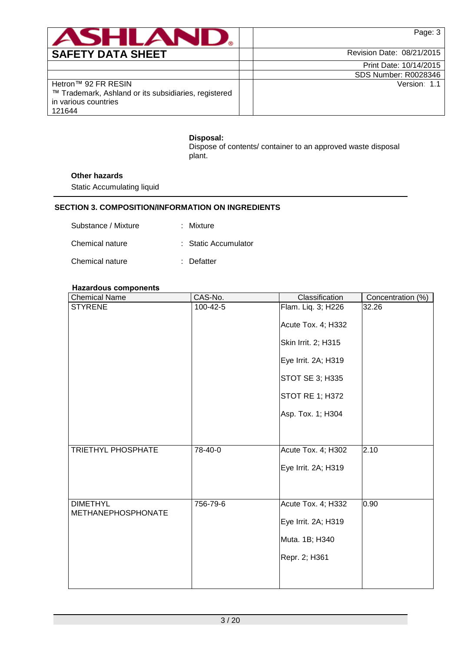

|                                                      | Print Date: 10/14/2015      |
|------------------------------------------------------|-----------------------------|
|                                                      | <b>SDS Number: R0028346</b> |
| Hetron™ 92 FR RESIN                                  | Version: 1.1                |
| ™ Trademark, Ashland or its subsidiaries, registered |                             |
| in various countries                                 |                             |
| 121644                                               |                             |

## **Disposal:**

Dispose of contents/ container to an approved waste disposal plant.

## **Other hazards**

Static Accumulating liquid

# **SECTION 3. COMPOSITION/INFORMATION ON INGREDIENTS**

| Substance / Mixture | : Mixture            |
|---------------------|----------------------|
| Chemical nature     | : Static Accumulator |
| Chemical nature     | : Defatter           |

## **Hazardous components**

| <b>Chemical Name</b>                         | CAS-No.  | Classification         | Concentration (%) |
|----------------------------------------------|----------|------------------------|-------------------|
| <b>STYRENE</b>                               | 100-42-5 | Flam. Liq. 3; H226     | 32.26             |
|                                              |          | Acute Tox. 4; H332     |                   |
|                                              |          | Skin Irrit. 2; H315    |                   |
|                                              |          | Eye Irrit. 2A; H319    |                   |
|                                              |          | STOT SE 3; H335        |                   |
|                                              |          | <b>STOT RE 1; H372</b> |                   |
|                                              |          | Asp. Tox. 1; H304      |                   |
|                                              |          |                        |                   |
| TRIETHYL PHOSPHATE                           | 78-40-0  | Acute Tox. 4; H302     | 2.10              |
|                                              |          | Eye Irrit. 2A; H319    |                   |
|                                              |          |                        |                   |
| <b>DIMETHYL</b><br><b>METHANEPHOSPHONATE</b> | 756-79-6 | Acute Tox. 4; H332     | 0.90              |
|                                              |          | Eye Irrit. 2A; H319    |                   |
|                                              |          | Muta. 1B; H340         |                   |
|                                              |          | Repr. 2; H361          |                   |
|                                              |          |                        |                   |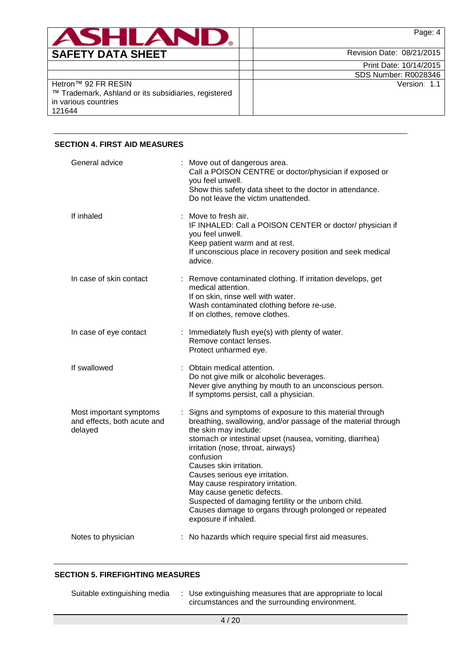|                                                                                                     | Page: 4                     |
|-----------------------------------------------------------------------------------------------------|-----------------------------|
| <b>SAFETY DATA SHEET</b>                                                                            | Revision Date: 08/21/2015   |
|                                                                                                     | Print Date: 10/14/2015      |
|                                                                                                     | <b>SDS Number: R0028346</b> |
| Hetron™ 92 FR RESIN<br>™ Trademark, Ashland or its subsidiaries, registered<br>in various countries | Version: 1.1                |
| 121644                                                                                              |                             |

# **SECTION 4. FIRST AID MEASURES**

| General advice                                                    | Move out of dangerous area.<br>Call a POISON CENTRE or doctor/physician if exposed or<br>you feel unwell.<br>Show this safety data sheet to the doctor in attendance.<br>Do not leave the victim unattended.                                                                                                                                                                                                                                                                                                                              |
|-------------------------------------------------------------------|-------------------------------------------------------------------------------------------------------------------------------------------------------------------------------------------------------------------------------------------------------------------------------------------------------------------------------------------------------------------------------------------------------------------------------------------------------------------------------------------------------------------------------------------|
| If inhaled                                                        | Move to fresh air.<br>IF INHALED: Call a POISON CENTER or doctor/ physician if<br>you feel unwell.<br>Keep patient warm and at rest.<br>If unconscious place in recovery position and seek medical<br>advice.                                                                                                                                                                                                                                                                                                                             |
| In case of skin contact                                           | : Remove contaminated clothing. If irritation develops, get<br>medical attention.<br>If on skin, rinse well with water.<br>Wash contaminated clothing before re-use.<br>If on clothes, remove clothes.                                                                                                                                                                                                                                                                                                                                    |
| In case of eye contact                                            | : Immediately flush eye(s) with plenty of water.<br>Remove contact lenses.<br>Protect unharmed eye.                                                                                                                                                                                                                                                                                                                                                                                                                                       |
| If swallowed                                                      | Obtain medical attention.<br>Do not give milk or alcoholic beverages.<br>Never give anything by mouth to an unconscious person.<br>If symptoms persist, call a physician.                                                                                                                                                                                                                                                                                                                                                                 |
| Most important symptoms<br>and effects, both acute and<br>delayed | Signs and symptoms of exposure to this material through<br>breathing, swallowing, and/or passage of the material through<br>the skin may include:<br>stomach or intestinal upset (nausea, vomiting, diarrhea)<br>irritation (nose, throat, airways)<br>confusion<br>Causes skin irritation.<br>Causes serious eye irritation.<br>May cause respiratory irritation.<br>May cause genetic defects.<br>Suspected of damaging fertility or the unborn child.<br>Causes damage to organs through prolonged or repeated<br>exposure if inhaled. |
| Notes to physician                                                | : No hazards which require special first aid measures.                                                                                                                                                                                                                                                                                                                                                                                                                                                                                    |

## **SECTION 5. FIREFIGHTING MEASURES**

| Suitable extinguishing media | : Use extinguishing measures that are appropriate to local |
|------------------------------|------------------------------------------------------------|
|                              | circumstances and the surrounding environment.             |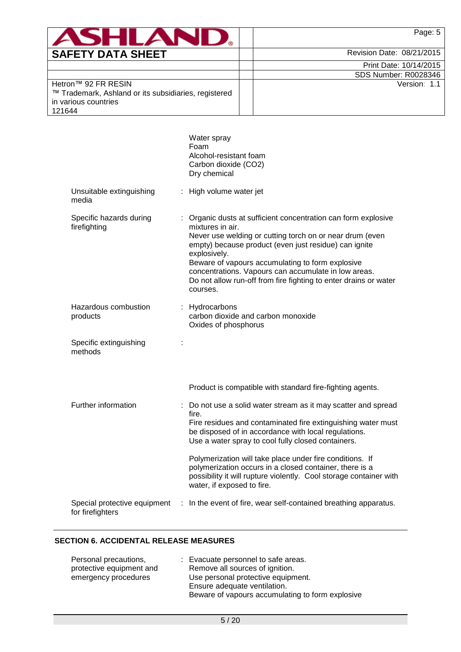

Print Date: 10/14/2015 SDS Number: R0028346

Version: 1.1

Hetron™ 92 FR RESIN ™ Trademark, Ashland or its subsidiaries, registered in various countries 121644

|                                                  |   | Water spray<br>Foam<br>Alcohol-resistant foam<br>Carbon dioxide (CO2)<br>Dry chemical                                                                                                                                                                                                                                                                                                                             |
|--------------------------------------------------|---|-------------------------------------------------------------------------------------------------------------------------------------------------------------------------------------------------------------------------------------------------------------------------------------------------------------------------------------------------------------------------------------------------------------------|
| Unsuitable extinguishing<br>media                |   | : High volume water jet                                                                                                                                                                                                                                                                                                                                                                                           |
| Specific hazards during<br>firefighting          |   | Organic dusts at sufficient concentration can form explosive<br>mixtures in air.<br>Never use welding or cutting torch on or near drum (even<br>empty) because product (even just residue) can ignite<br>explosively.<br>Beware of vapours accumulating to form explosive<br>concentrations. Vapours can accumulate in low areas.<br>Do not allow run-off from fire fighting to enter drains or water<br>courses. |
| Hazardous combustion<br>products                 |   | : Hydrocarbons<br>carbon dioxide and carbon monoxide<br>Oxides of phosphorus                                                                                                                                                                                                                                                                                                                                      |
| Specific extinguishing<br>methods                | t |                                                                                                                                                                                                                                                                                                                                                                                                                   |
|                                                  |   | Product is compatible with standard fire-fighting agents.                                                                                                                                                                                                                                                                                                                                                         |
| Further information                              |   | : Do not use a solid water stream as it may scatter and spread<br>fire.<br>Fire residues and contaminated fire extinguishing water must<br>be disposed of in accordance with local regulations.<br>Use a water spray to cool fully closed containers.<br>Polymerization will take place under fire conditions. If                                                                                                 |
|                                                  |   | polymerization occurs in a closed container, there is a<br>possibility it will rupture violently. Cool storage container with<br>water, if exposed to fire.                                                                                                                                                                                                                                                       |
| Special protective equipment<br>for firefighters |   | : In the event of fire, wear self-contained breathing apparatus.                                                                                                                                                                                                                                                                                                                                                  |

# **SECTION 6. ACCIDENTAL RELEASE MEASURES**

| : Evacuate personnel to safe areas.              |
|--------------------------------------------------|
| Remove all sources of ignition.                  |
| Use personal protective equipment.               |
| Ensure adequate ventilation.                     |
| Beware of vapours accumulating to form explosive |
|                                                  |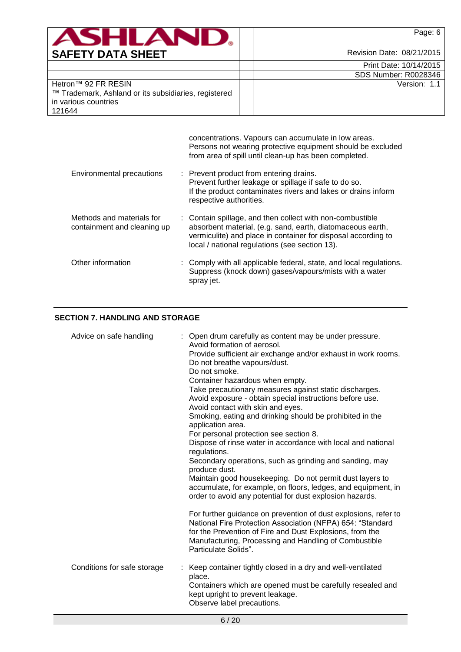| $\blacksquare$                                                                                                | Page: 6                   |
|---------------------------------------------------------------------------------------------------------------|---------------------------|
| <b>SAFETY DATA SHEET</b>                                                                                      | Revision Date: 08/21/2015 |
|                                                                                                               | Print Date: 10/14/2015    |
|                                                                                                               | SDS Number: R0028346      |
| Hetron™ 92 FR RESIN<br>™ Trademark, Ashland or its subsidiaries, registered<br>in various countries<br>121644 | Version: 1.1              |

|                                                          | concentrations. Vapours can accumulate in low areas.<br>Persons not wearing protective equipment should be excluded<br>from area of spill until clean-up has been completed.                                                               |
|----------------------------------------------------------|--------------------------------------------------------------------------------------------------------------------------------------------------------------------------------------------------------------------------------------------|
| Environmental precautions                                | : Prevent product from entering drains.<br>Prevent further leakage or spillage if safe to do so.<br>If the product contaminates rivers and lakes or drains inform<br>respective authorities.                                               |
| Methods and materials for<br>containment and cleaning up | : Contain spillage, and then collect with non-combustible<br>absorbent material, (e.g. sand, earth, diatomaceous earth,<br>vermiculite) and place in container for disposal according to<br>local / national regulations (see section 13). |
| Other information                                        | : Comply with all applicable federal, state, and local regulations.<br>Suppress (knock down) gases/vapours/mists with a water<br>spray jet.                                                                                                |

# **SECTION 7. HANDLING AND STORAGE**

| Advice on safe handling     | : Open drum carefully as content may be under pressure.<br>Avoid formation of aerosol.<br>Provide sufficient air exchange and/or exhaust in work rooms.<br>Do not breathe vapours/dust.<br>Do not smoke.<br>Container hazardous when empty.<br>Take precautionary measures against static discharges.<br>Avoid exposure - obtain special instructions before use.<br>Avoid contact with skin and eyes.<br>Smoking, eating and drinking should be prohibited in the<br>application area.<br>For personal protection see section 8.<br>Dispose of rinse water in accordance with local and national<br>regulations.<br>Secondary operations, such as grinding and sanding, may<br>produce dust.<br>Maintain good housekeeping. Do not permit dust layers to<br>accumulate, for example, on floors, ledges, and equipment, in<br>order to avoid any potential for dust explosion hazards.<br>For further guidance on prevention of dust explosions, refer to<br>National Fire Protection Association (NFPA) 654: "Standard<br>for the Prevention of Fire and Dust Explosions, from the<br>Manufacturing, Processing and Handling of Combustible<br>Particulate Solids". |
|-----------------------------|----------------------------------------------------------------------------------------------------------------------------------------------------------------------------------------------------------------------------------------------------------------------------------------------------------------------------------------------------------------------------------------------------------------------------------------------------------------------------------------------------------------------------------------------------------------------------------------------------------------------------------------------------------------------------------------------------------------------------------------------------------------------------------------------------------------------------------------------------------------------------------------------------------------------------------------------------------------------------------------------------------------------------------------------------------------------------------------------------------------------------------------------------------------------|
| Conditions for safe storage | Keep container tightly closed in a dry and well-ventilated<br>place.<br>Containers which are opened must be carefully resealed and<br>kept upright to prevent leakage.<br>Observe label precautions.                                                                                                                                                                                                                                                                                                                                                                                                                                                                                                                                                                                                                                                                                                                                                                                                                                                                                                                                                                 |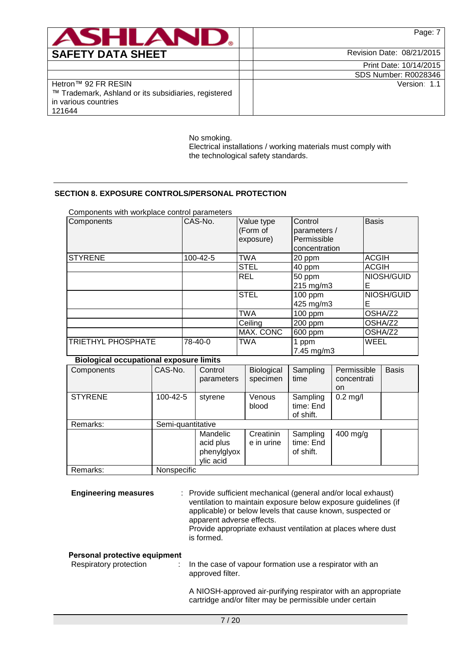

Print Date: 10/14/2015 SDS Number: R0028346

Version: 1.1

Hetron™ 92 FR RESIN ™ Trademark, Ashland or its subsidiaries, registered in various countries 121644

> No smoking. Electrical installations / working materials must comply with the technological safety standards.

# **SECTION 8. EXPOSURE CONTROLS/PERSONAL PROTECTION**

| Components with workplace control parameters |          |                                     |                                                         |                 |
|----------------------------------------------|----------|-------------------------------------|---------------------------------------------------------|-----------------|
| Components                                   | CAS-No.  | Value type<br>(Form of<br>exposure) | Control<br>parameters /<br>Permissible<br>concentration | <b>Basis</b>    |
| <b>STYRENE</b>                               | 100-42-5 | TWA                                 | 20 ppm                                                  | <b>ACGIH</b>    |
|                                              |          | <b>STEL</b>                         | 40 ppm                                                  | <b>ACGIH</b>    |
|                                              |          | <b>REL</b>                          | 50 ppm                                                  | NIOSH/GUID      |
|                                              |          |                                     | $215$ mg/m3                                             | Е               |
|                                              |          | <b>STEL</b>                         | 100 ppm<br>425 mg/m3                                    | NIOSH/GUID<br>Е |
|                                              |          | TWA                                 | $100$ ppm                                               | OSHA/Z2         |
|                                              |          | Ceiling                             | 200 ppm                                                 | OSHA/Z2         |
|                                              |          | MAX. CONC                           | 600 ppm                                                 | OSHA/Z2         |
| TRIETHYL PHOSPHATE                           | 78-40-0  | TWA                                 | 1 ppm<br>7.45 mg/m3                                     | WEEL            |

## **Biological occupational exposure limits**

| -----          |                   |             |                   |           |             |              |
|----------------|-------------------|-------------|-------------------|-----------|-------------|--------------|
| Components     | CAS-No.           | Control     | <b>Biological</b> | Sampling  | Permissible | <b>Basis</b> |
|                |                   | parameters  | specimen          | time      | concentrati |              |
|                |                   |             |                   |           | on          |              |
| <b>STYRENE</b> | 100-42-5          | styrene     | Venous            | Sampling  | $0.2$ mg/l  |              |
|                |                   |             | blood             | time: End |             |              |
|                |                   |             |                   | of shift. |             |              |
| Remarks:       | Semi-quantitative |             |                   |           |             |              |
|                |                   | Mandelic    | Creatinin         | Sampling  | $400$ mg/g  |              |
|                |                   | acid plus   | e in urine        | time: End |             |              |
|                |                   | phenylglyox |                   | of shift. |             |              |
|                |                   | ylic acid   |                   |           |             |              |
| Remarks:       | Nonspecific       |             |                   |           |             |              |

**Engineering measures** : Provide sufficient mechanical (general and/or local exhaust) ventilation to maintain exposure below exposure guidelines (if applicable) or below levels that cause known, suspected or apparent adverse effects.

Provide appropriate exhaust ventilation at places where dust is formed.

## **Personal protective equipment**

| Respiratory protection | In the case of vapour formation use a respirator with an |
|------------------------|----------------------------------------------------------|
|                        | approved filter.                                         |

A NIOSH-approved air-purifying respirator with an appropriate cartridge and/or filter may be permissible under certain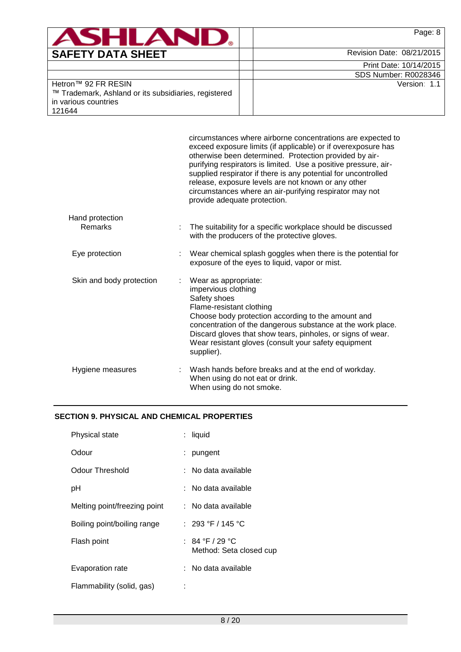| <b>SHI</b>                                                                                                    | Page: 8                   |
|---------------------------------------------------------------------------------------------------------------|---------------------------|
| <b>SAFETY DATA SHEET</b>                                                                                      | Revision Date: 08/21/2015 |
|                                                                                                               | Print Date: 10/14/2015    |
|                                                                                                               | SDS Number: R0028346      |
| Hetron™ 92 FR RESIN<br>™ Trademark, Ashland or its subsidiaries, registered<br>in various countries<br>121644 | Version: 1.1              |

|                          | circumstances where airborne concentrations are expected to<br>exceed exposure limits (if applicable) or if overexposure has<br>otherwise been determined. Protection provided by air-<br>purifying respirators is limited. Use a positive pressure, air-<br>supplied respirator if there is any potential for uncontrolled<br>release, exposure levels are not known or any other<br>circumstances where an air-purifying respirator may not<br>provide adequate protection. |
|--------------------------|-------------------------------------------------------------------------------------------------------------------------------------------------------------------------------------------------------------------------------------------------------------------------------------------------------------------------------------------------------------------------------------------------------------------------------------------------------------------------------|
| Hand protection          |                                                                                                                                                                                                                                                                                                                                                                                                                                                                               |
| Remarks                  | The suitability for a specific workplace should be discussed<br>with the producers of the protective gloves.                                                                                                                                                                                                                                                                                                                                                                  |
| Eye protection           | Wear chemical splash goggles when there is the potential for<br>exposure of the eyes to liquid, vapor or mist.                                                                                                                                                                                                                                                                                                                                                                |
| Skin and body protection | Wear as appropriate:<br>impervious clothing<br>Safety shoes<br>Flame-resistant clothing<br>Choose body protection according to the amount and<br>concentration of the dangerous substance at the work place.<br>Discard gloves that show tears, pinholes, or signs of wear.<br>Wear resistant gloves (consult your safety equipment<br>supplier).                                                                                                                             |
| Hygiene measures         | Wash hands before breaks and at the end of workday.<br>When using do not eat or drink.<br>When using do not smoke.                                                                                                                                                                                                                                                                                                                                                            |
|                          |                                                                                                                                                                                                                                                                                                                                                                                                                                                                               |

# **SECTION 9. PHYSICAL AND CHEMICAL PROPERTIES**

| Physical state               | : liquid                                   |
|------------------------------|--------------------------------------------|
| Odour                        | pungent                                    |
| Odour Threshold              | : No data available                        |
| рH                           | : No data available                        |
| Melting point/freezing point | : No data available                        |
| Boiling point/boiling range  | : 293 °F / 145 °C                          |
| Flash point                  | : 84 °F / 29 °C<br>Method: Seta closed cup |
| Evaporation rate             | : No data available                        |
| Flammability (solid, gas)    |                                            |
|                              |                                            |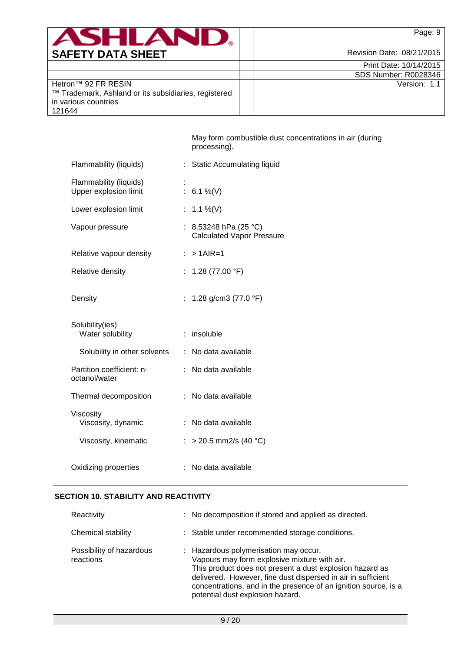| )ATA SHEET<br>.CETY D.<br><b>GAI</b> |  |  |
|--------------------------------------|--|--|

Revision Date: 08/21/2015

| Print Date: 10/14/2015      |
|-----------------------------|
| <b>SDS Number: R0028346</b> |

Version: 1.1

| Hetron™ 92 FR RESIN                                  |
|------------------------------------------------------|
| ™ Trademark, Ashland or its subsidiaries, registered |
| in various countries                                 |
| 121644                                               |

May form combustible dust concentrations in air (during processing).

| Flammability (liquids)                          | : Static Accumulating liquid                              |
|-------------------------------------------------|-----------------------------------------------------------|
| Flammability (liquids)<br>Upper explosion limit | : $6.1\%$ (V)                                             |
| Lower explosion limit                           | 1.1 %(V)                                                  |
| Vapour pressure                                 | : 8.53248 hPa (25 °C)<br><b>Calculated Vapor Pressure</b> |
| Relative vapour density                         | $: > 1$ AIR=1                                             |
| Relative density                                | : $1.28$ (77.00 °F)                                       |
| Density                                         | : 1.28 g/cm3 (77.0 $\degree$ F)                           |
| Solubility(ies)<br>Water solubility             | $:$ insoluble                                             |
| Solubility in other solvents                    | : No data available                                       |
| Partition coefficient: n-<br>octanol/water      | No data available                                         |
| Thermal decomposition                           | : No data available                                       |
| Viscosity<br>Viscosity, dynamic                 | No data available<br>÷.                                   |
| Viscosity, kinematic                            | : > 20.5 mm2/s (40 °C)                                    |
| Oxidizing properties                            | No data available                                         |

# **SECTION 10. STABILITY AND REACTIVITY**

| Reactivity                            | : No decomposition if stored and applied as directed.                                                                                                                                                                                                                                                                    |
|---------------------------------------|--------------------------------------------------------------------------------------------------------------------------------------------------------------------------------------------------------------------------------------------------------------------------------------------------------------------------|
| Chemical stability                    | : Stable under recommended storage conditions.                                                                                                                                                                                                                                                                           |
| Possibility of hazardous<br>reactions | : Hazardous polymerisation may occur.<br>Vapours may form explosive mixture with air.<br>This product does not present a dust explosion hazard as<br>delivered. However, fine dust dispersed in air in sufficient<br>concentrations, and in the presence of an ignition source, is a<br>potential dust explosion hazard. |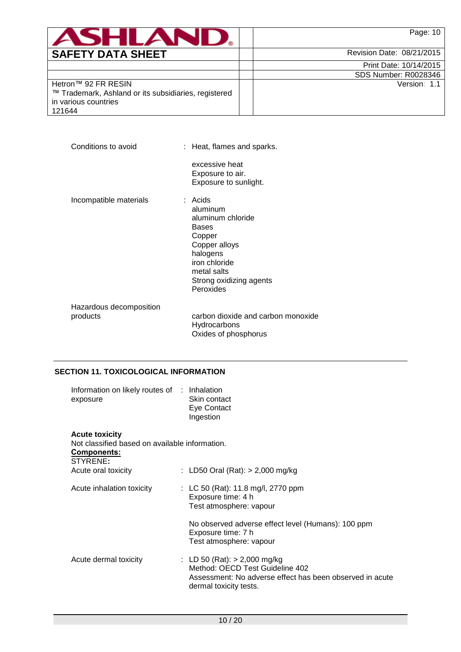| <b>SAFETY DATA SHEET</b> |  |  |
|--------------------------|--|--|

Revision Date: 08/21/2015

| Print Date: 10/14/2015      |  |  |  |
|-----------------------------|--|--|--|
| <b>SDS Number: R0028346</b> |  |  |  |
| Version: 1.1                |  |  |  |

Hetron™ 92 FR RESIN ™ Trademark, Ashland or its subsidiaries, registered in various countries 121644

Conditions to avoid : Heat, flames and sparks. excessive heat Exposure to air. Exposure to sunlight. Incompatible materials : Acids aluminum aluminum chloride Bases Copper Copper alloys halogens iron chloride metal salts Strong oxidizing agents Peroxides Hazardous decomposition products carbon dioxide and carbon monoxide Hydrocarbons

# **SECTION 11. TOXICOLOGICAL INFORMATION**

| Information on likely routes of : Inhalation<br>exposure                                           | Skin contact<br>Eye Contact<br>Ingestion                                                                                                                |
|----------------------------------------------------------------------------------------------------|---------------------------------------------------------------------------------------------------------------------------------------------------------|
| <b>Acute toxicity</b><br>Not classified based on available information.<br>Components:<br>STYRENE: |                                                                                                                                                         |
| Acute oral toxicity                                                                                | : LD50 Oral (Rat): $> 2,000$ mg/kg                                                                                                                      |
| Acute inhalation toxicity                                                                          | : LC 50 (Rat): 11.8 mg/l, 2770 ppm<br>Exposure time: 4 h<br>Test atmosphere: vapour                                                                     |
|                                                                                                    | No observed adverse effect level (Humans): 100 ppm<br>Exposure time: 7 h<br>Test atmosphere: vapour                                                     |
| Acute dermal toxicity                                                                              | : LD 50 (Rat): $>$ 2,000 mg/kg<br>Method: OECD Test Guideline 402<br>Assessment: No adverse effect has been observed in acute<br>dermal toxicity tests. |

Oxides of phosphorus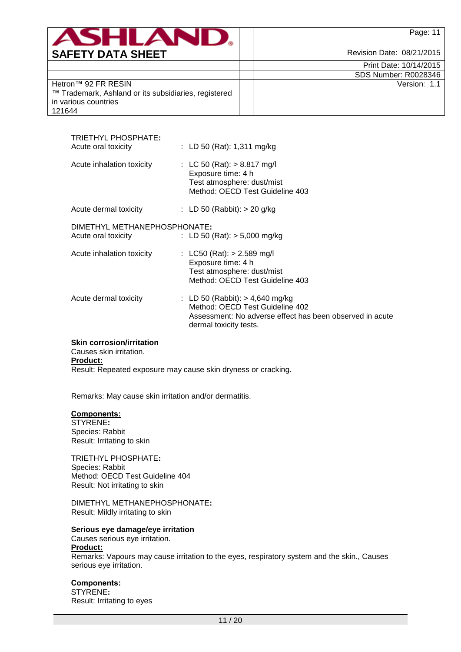|                          | <b>Page: 11</b>              |
|--------------------------|------------------------------|
| <b>SAFETY DATA SHEET</b> | 08/21/2015<br>Revision Date: |

Print Date: 10/14/2015 SDS Number: R0028346

Version: 1.1

Hetron™ 92 FR RESIN ™ Trademark, Ashland or its subsidiaries, registered in various countries 121644

| : LC 50 (Rat): $> 8.817$ mg/l<br>Acute inhalation toxicity<br>Exposure time: 4 h<br>Test atmosphere: dust/mist<br>Method: OECD Test Guideline 403<br>: LD 50 (Rabbit): $>$ 20 g/kg<br>Acute dermal toxicity<br>DIMETHYL METHANEPHOSPHONATE:<br>: LD 50 (Rat): $>$ 5,000 mg/kg<br>Acute oral toxicity<br>: LC50 (Rat): $> 2.589$ mg/l<br>Acute inhalation toxicity<br>Exposure time: 4 h<br>Test atmosphere: dust/mist<br>Method: OECD Test Guideline 403<br>: LD 50 (Rabbit): $> 4,640$ mg/kg<br>Acute dermal toxicity<br>Method: OECD Test Guideline 402<br>Assessment: No adverse effect has been observed in acute<br>dermal toxicity tests. | TRIETHYL PHOSPHATE:<br>Acute oral toxicity | : LD 50 (Rat): $1,311 \text{ mg/kg}$ |
|-------------------------------------------------------------------------------------------------------------------------------------------------------------------------------------------------------------------------------------------------------------------------------------------------------------------------------------------------------------------------------------------------------------------------------------------------------------------------------------------------------------------------------------------------------------------------------------------------------------------------------------------------|--------------------------------------------|--------------------------------------|
|                                                                                                                                                                                                                                                                                                                                                                                                                                                                                                                                                                                                                                                 |                                            |                                      |
|                                                                                                                                                                                                                                                                                                                                                                                                                                                                                                                                                                                                                                                 |                                            |                                      |
|                                                                                                                                                                                                                                                                                                                                                                                                                                                                                                                                                                                                                                                 |                                            |                                      |
|                                                                                                                                                                                                                                                                                                                                                                                                                                                                                                                                                                                                                                                 |                                            |                                      |
|                                                                                                                                                                                                                                                                                                                                                                                                                                                                                                                                                                                                                                                 |                                            |                                      |

## **Skin corrosion/irritation**

Causes skin irritation. **Product:** Result: Repeated exposure may cause skin dryness or cracking.

Remarks: May cause skin irritation and/or dermatitis.

## **Components:**

STYRENE**:** Species: Rabbit Result: Irritating to skin

TRIETHYL PHOSPHATE**:** Species: Rabbit Method: OECD Test Guideline 404 Result: Not irritating to skin

DIMETHYL METHANEPHOSPHONATE**:** Result: Mildly irritating to skin

## **Serious eye damage/eye irritation**

Causes serious eye irritation. **Product:**

Remarks: Vapours may cause irritation to the eyes, respiratory system and the skin., Causes serious eye irritation.

## **Components:**

STYRENE**:** Result: Irritating to eyes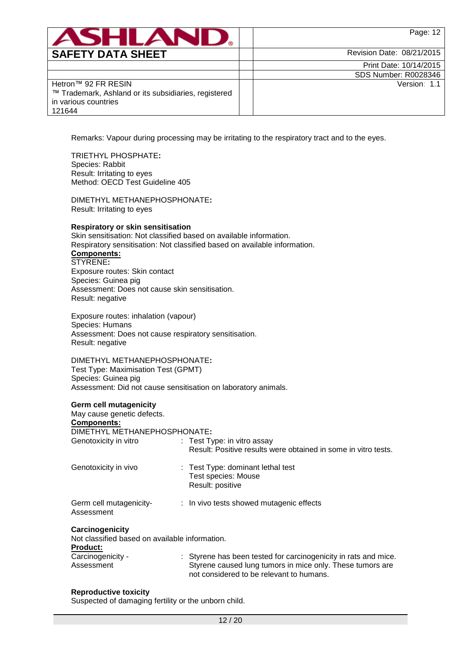|                          | Page:                     |
|--------------------------|---------------------------|
| <b>SAFETY DATA SHEET</b> | Revision Date: 08/21/2015 |

|                                                                                                                                                                                                                        |                                                                              | Print Date: 10/14/2015                                                                                                       |
|------------------------------------------------------------------------------------------------------------------------------------------------------------------------------------------------------------------------|------------------------------------------------------------------------------|------------------------------------------------------------------------------------------------------------------------------|
|                                                                                                                                                                                                                        |                                                                              | SDS Number: R0028346                                                                                                         |
| Hetron™ 92 FR RESIN<br>™ Trademark, Ashland or its subsidiaries, registered<br>in various countries<br>121644                                                                                                          |                                                                              | Version: 1.1                                                                                                                 |
|                                                                                                                                                                                                                        |                                                                              |                                                                                                                              |
|                                                                                                                                                                                                                        |                                                                              | Remarks: Vapour during processing may be irritating to the respiratory tract and to the eyes.                                |
| <b>TRIETHYL PHOSPHATE:</b><br>Species: Rabbit<br>Result: Irritating to eyes<br>Method: OECD Test Guideline 405                                                                                                         |                                                                              |                                                                                                                              |
| DIMETHYL METHANEPHOSPHONATE:<br>Result: Irritating to eyes                                                                                                                                                             |                                                                              |                                                                                                                              |
| <b>Respiratory or skin sensitisation</b><br>Skin sensitisation: Not classified based on available information.<br>Respiratory sensitisation: Not classified based on available information.<br>Components:<br>STYRENE: |                                                                              |                                                                                                                              |
| Exposure routes: Skin contact<br>Species: Guinea pig<br>Assessment: Does not cause skin sensitisation.<br>Result: negative                                                                                             |                                                                              |                                                                                                                              |
| Exposure routes: inhalation (vapour)<br>Species: Humans<br>Assessment: Does not cause respiratory sensitisation.<br>Result: negative                                                                                   |                                                                              |                                                                                                                              |
| DIMETHYL METHANEPHOSPHONATE:<br>Test Type: Maximisation Test (GPMT)<br>Species: Guinea pig<br>Assessment: Did not cause sensitisation on laboratory animals.                                                           |                                                                              |                                                                                                                              |
| <b>Germ cell mutagenicity</b><br>May cause genetic defects.<br>Components:                                                                                                                                             |                                                                              |                                                                                                                              |
| DIMETHYL METHANEPHOSPHONATE:                                                                                                                                                                                           |                                                                              |                                                                                                                              |
| Genotoxicity in vitro                                                                                                                                                                                                  | : Test Type: in vitro assay                                                  | Result: Positive results were obtained in some in vitro tests.                                                               |
| Genotoxicity in vivo                                                                                                                                                                                                   | : Test Type: dominant lethal test<br>Test species: Mouse<br>Result: positive |                                                                                                                              |
| Germ cell mutagenicity-<br>Assessment                                                                                                                                                                                  |                                                                              | : In vivo tests showed mutagenic effects                                                                                     |
| Carcinogenicity<br>Not classified based on available information.                                                                                                                                                      |                                                                              |                                                                                                                              |
| <b>Product:</b><br>Carcinogenicity -<br>Assessment                                                                                                                                                                     |                                                                              | : Styrene has been tested for carcinogenicity in rats and mice.<br>Styrene caused lung tumors in mice only. These tumors are |

# **Reproductive toxicity**

Suspected of damaging fertility or the unborn child.

not considered to be relevant to humans.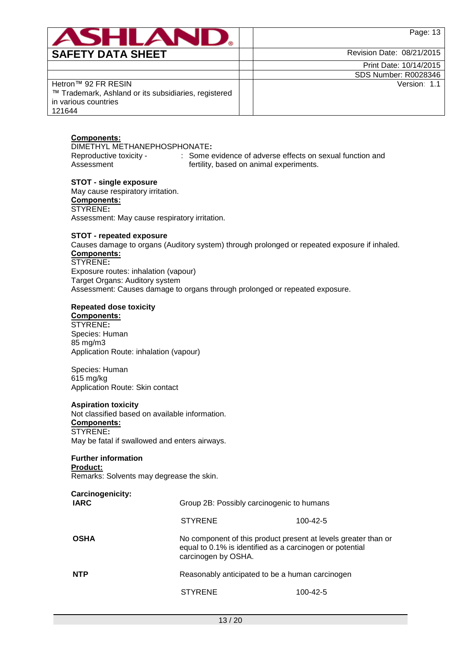**SAFETY DATA SHEET**  $\vert$   $\vert$   $\vert$  Revision Date: 08/21/2015

| Print Date: 10/14/2015 |
|------------------------|
| SDS Number: R0028346   |
|                        |

Version: 1.1

Hetron™ 92 FR RESIN ™ Trademark, Ashland or its subsidiaries, registered in various countries 121644

# **Components:**

DIMETHYL METHANEPHOSPHONATE**:** Reproductive toxicity - : Some evidence of adverse effects on sexual function and Assessment fertility, based on animal experiments.

**STOT - single exposure** May cause respiratory irritation. **Components:** STYRENE**:** Assessment: May cause respiratory irritation.

## **STOT - repeated exposure**

Causes damage to organs (Auditory system) through prolonged or repeated exposure if inhaled. **Components:** STYRENE**:**

Exposure routes: inhalation (vapour) Target Organs: Auditory system Assessment: Causes damage to organs through prolonged or repeated exposure.

# **Repeated dose toxicity**

**Components:**

STYRENE**:** Species: Human 85 mg/m3 Application Route: inhalation (vapour)

Species: Human 615 mg/kg Application Route: Skin contact

## **Aspiration toxicity**

Not classified based on available information. **Components:** STYRENE**:** May be fatal if swallowed and enters airways.

## **Further information**

## **Product:**

Remarks: Solvents may degrease the skin.

| Carcinogenicity:<br><b>IARC</b> | Group 2B: Possibly carcinogenic to humans                                                                                                         |                |  |
|---------------------------------|---------------------------------------------------------------------------------------------------------------------------------------------------|----------------|--|
|                                 | <b>STYRENE</b>                                                                                                                                    | 100-42-5       |  |
| <b>OSHA</b>                     | No component of this product present at levels greater than or<br>equal to 0.1% is identified as a carcinogen or potential<br>carcinogen by OSHA. |                |  |
| <b>NTP</b>                      | Reasonably anticipated to be a human carcinogen                                                                                                   |                |  |
|                                 | <b>STYRENE</b>                                                                                                                                    | $100 - 42 - 5$ |  |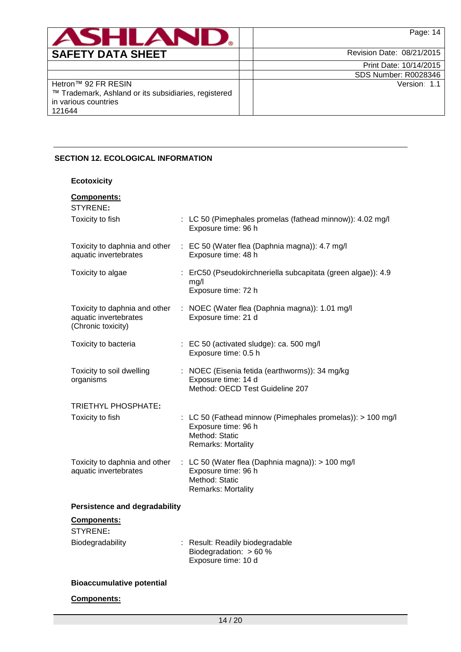| ANHI AI                                                                                                       | Page: 14                  |
|---------------------------------------------------------------------------------------------------------------|---------------------------|
| <b>SAFETY DATA SHEET</b>                                                                                      | Revision Date: 08/21/2015 |
|                                                                                                               | Print Date: 10/14/2015    |
|                                                                                                               | SDS Number: R0028346      |
| Hetron™ 92 FR RESIN<br>™ Trademark, Ashland or its subsidiaries, registered<br>in various countries<br>121644 | Version: 1.1              |

# **SECTION 12. ECOLOGICAL INFORMATION**

**Ecotoxicity**

| Components:<br>STYRENE:                                                      |                                                                                                                           |
|------------------------------------------------------------------------------|---------------------------------------------------------------------------------------------------------------------------|
| Toxicity to fish                                                             | : LC 50 (Pimephales promelas (fathead minnow)): 4.02 mg/l<br>Exposure time: 96 h                                          |
| Toxicity to daphnia and other<br>aquatic invertebrates                       | : EC 50 (Water flea (Daphnia magna)): 4.7 mg/l<br>Exposure time: 48 h                                                     |
| Toxicity to algae                                                            | : ErC50 (Pseudokirchneriella subcapitata (green algae)): 4.9<br>mg/l<br>Exposure time: 72 h                               |
| Toxicity to daphnia and other<br>aquatic invertebrates<br>(Chronic toxicity) | : NOEC (Water flea (Daphnia magna)): 1.01 mg/l<br>Exposure time: 21 d                                                     |
| Toxicity to bacteria                                                         | : EC 50 (activated sludge): ca. 500 mg/l<br>Exposure time: 0.5 h                                                          |
| Toxicity to soil dwelling<br>organisms                                       | : NOEC (Eisenia fetida (earthworms)): 34 mg/kg<br>Exposure time: 14 d<br>Method: OECD Test Guideline 207                  |
| TRIETHYL PHOSPHATE:                                                          |                                                                                                                           |
| Toxicity to fish                                                             | : LC 50 (Fathead minnow (Pimephales promelas)): > 100 mg/l<br>Exposure time: 96 h<br>Method: Static<br>Remarks: Mortality |
| Toxicity to daphnia and other<br>aquatic invertebrates                       | : LC 50 (Water flea (Daphnia magna)): > 100 mg/l<br>Exposure time: 96 h<br>Method: Static<br><b>Remarks: Mortality</b>    |
| <b>Persistence and degradability</b>                                         |                                                                                                                           |
| <b>Components:</b><br>STYRENE:                                               |                                                                                                                           |
| Biodegradability                                                             | : Result: Readily biodegradable<br>Biodegradation: > 60 %<br>Exposure time: 10 d                                          |
| <b>Bioaccumulative potential</b>                                             |                                                                                                                           |

## **Components:**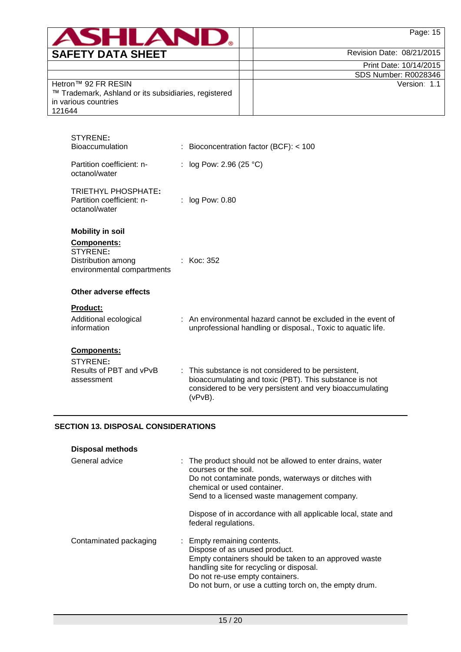|                          | Page:                     |
|--------------------------|---------------------------|
| <b>SAFETY DATA SHEET</b> | Revision Date: 08/21/2015 |

| Print Date: 10/14/2015 |
|------------------------|
| SDS Number: R0028346   |

Version: 1.1

| Hetron™ 92 FR RESIN                                  |
|------------------------------------------------------|
| ™ Trademark, Ashland or its subsidiaries, registered |
| in various countries                                 |
| 121644                                               |

| STYRENE:<br><b>Bioaccumulation</b>                                              | : Bioconcentration factor (BCF): $<$ 100                                                                                                                                                  |
|---------------------------------------------------------------------------------|-------------------------------------------------------------------------------------------------------------------------------------------------------------------------------------------|
| Partition coefficient: n-<br>octanol/water                                      | : $log Pow: 2.96 (25 °C)$                                                                                                                                                                 |
| TRIETHYL PHOSPHATE:<br>Partition coefficient: n-<br>octanol/water               | $:$ log Pow: 0.80                                                                                                                                                                         |
| <b>Mobility in soil</b><br><b>Components:</b><br>STYRENE:<br>Distribution among | : $Koc: 352$                                                                                                                                                                              |
| environmental compartments<br>Other adverse effects                             |                                                                                                                                                                                           |
| Product:<br>Additional ecological<br>information                                | : An environmental hazard cannot be excluded in the event of<br>unprofessional handling or disposal., Toxic to aquatic life.                                                              |
| <b>Components:</b><br>STYRENE:<br>Results of PBT and vPvB<br>assessment         | : This substance is not considered to be persistent,<br>bioaccumulating and toxic (PBT). This substance is not<br>considered to be very persistent and very bioaccumulating<br>$(vPvB)$ . |

# **SECTION 13. DISPOSAL CONSIDERATIONS**

| <b>Disposal methods</b> |                                                                                                                                                                                                                                                                 |
|-------------------------|-----------------------------------------------------------------------------------------------------------------------------------------------------------------------------------------------------------------------------------------------------------------|
| General advice          | : The product should not be allowed to enter drains, water<br>courses or the soil.<br>Do not contaminate ponds, waterways or ditches with<br>chemical or used container.<br>Send to a licensed waste management company.                                        |
|                         | Dispose of in accordance with all applicable local, state and<br>federal regulations.                                                                                                                                                                           |
| Contaminated packaging  | : Empty remaining contents.<br>Dispose of as unused product.<br>Empty containers should be taken to an approved waste<br>handling site for recycling or disposal.<br>Do not re-use empty containers.<br>Do not burn, or use a cutting torch on, the empty drum. |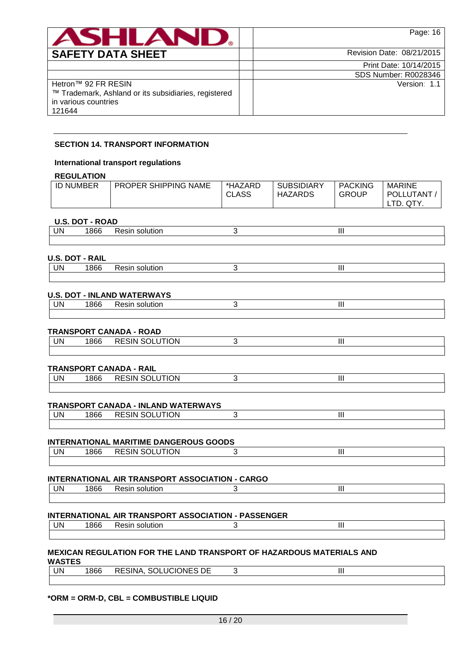| ASH<br><b>A</b>                                                                                               | Page: 16                    |
|---------------------------------------------------------------------------------------------------------------|-----------------------------|
| <b>SAFETY DATA SHEET</b>                                                                                      | Revision Date: 08/21/2015   |
|                                                                                                               | Print Date: 10/14/2015      |
|                                                                                                               | <b>SDS Number: R0028346</b> |
| Hetron™ 92 FR RESIN<br>™ Trademark, Ashland or its subsidiaries, registered<br>in various countries<br>121644 | Version: 1.1                |

## **SECTION 14. TRANSPORT INFORMATION**

## **International transport regulations**

## **REGULATION**

| .                |                             |                         |                              |                                |                                                   |
|------------------|-----------------------------|-------------------------|------------------------------|--------------------------------|---------------------------------------------------|
| <b>ID NUMBER</b> | <b>PROPER SHIPPING NAME</b> | *HAZARD<br><b>CLASS</b> | <b>SUBSIDIARY</b><br>HAZARDS | <b>PACKING</b><br><b>GROUP</b> | <b>MARINE</b><br><b>POLLUTANT</b><br>QTY.<br>LTD. |

## **U.S. DOT - ROAD**

|     | $\frac{1}{2}$ |         |  |       |  |  |  |  |
|-----|---------------|---------|--|-------|--|--|--|--|
| UN. |               | יי<br>. |  | .<br> |  |  |  |  |
|     |               |         |  |       |  |  |  |  |

# **U.S. DOT - RAIL**

| ' INi | - - - - - -<br>. ושוי<br>ווהחו<br>. | <b>Contract Contract</b><br>. |  |
|-------|-------------------------------------|-------------------------------|--|
|       |                                     |                               |  |

## **U.S. DOT - INLAND WATERWAYS**

| 'IN | oτ<br>- - - | TIOL<br>.<br>5511<br>. | .<br>. |  |
|-----|-------------|------------------------|--------|--|
|     |             |                        |        |  |

## **TRANSPORT CANADA - ROAD**

| UN | $\sim$<br>ooc | $ 0.1100011$<br><b>SOLUTION</b><br>$-$<br>RESIN |  |  |
|----|---------------|-------------------------------------------------|--|--|
|    |               |                                                 |  |  |

# **TRANSPORT CANADA - RAIL**

| UN | 000<br>86c | <b>RESIN SOLUTION</b> | <br>Ш |  |
|----|------------|-----------------------|-------|--|
|    |            |                       |       |  |

## **TRANSPORT CANADA - INLAND WATERWAYS**

| UN | .JN<br>√lN. |  |  |
|----|-------------|--|--|
|    |             |  |  |

## **INTERNATIONAL MARITIME DANGEROUS GOODS**

| UN | 000<br>1866 | ्र RESIN <sup>e∩</sup><br><b>JTION</b><br><b>RESIN SULUTIUN</b> | .<br> |  |
|----|-------------|-----------------------------------------------------------------|-------|--|
|    |             |                                                                 |       |  |

# **INTERNATIONAL AIR TRANSPORT ASSOCIATION - CARGO**

| UN | $\sim$<br>ooc | 2211111222<br>Resir<br>solution<br>_ _ _ _ _<br>$  -$ | .<br> |  |
|----|---------------|-------------------------------------------------------|-------|--|
|    |               |                                                       |       |  |

## **INTERNATIONAL AIR TRANSPORT ASSOCIATION - PASSENGER**

| UN | 1866 | solution<br><b>Resin</b> | .<br>ш. |  |
|----|------|--------------------------|---------|--|
|    |      |                          |         |  |

#### **MEXICAN REGULATION FOR THE LAND TRANSPORT OF HAZARDOUS MATERIALS AND WASTES**

| UN | 1866 | SOLUCIONES DE<br>RESINA, |  |
|----|------|--------------------------|--|
|    |      |                          |  |

## **\*ORM = ORM-D, CBL = COMBUSTIBLE LIQUID**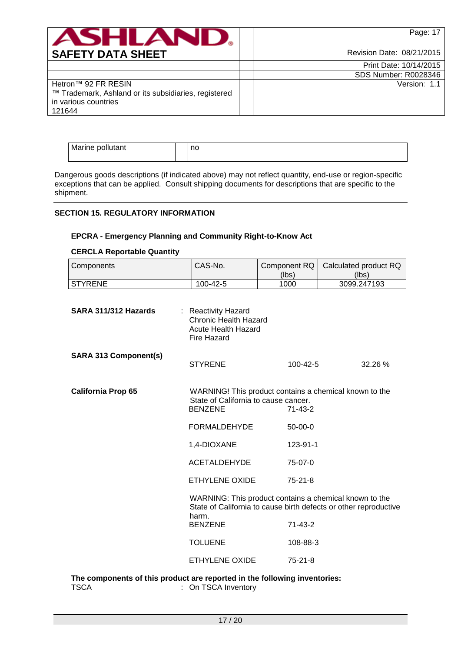|                                                                                                               | Page: 17                    |
|---------------------------------------------------------------------------------------------------------------|-----------------------------|
| <b>SAFETY DATA SHEET</b>                                                                                      | Revision Date: 08/21/2015   |
|                                                                                                               | Print Date: 10/14/2015      |
|                                                                                                               | <b>SDS Number: R0028346</b> |
| Hetron™ 92 FR RESIN<br>™ Trademark, Ashland or its subsidiaries, registered<br>in various countries<br>121644 | Version: 1.1                |

| Marine pollutant | no |
|------------------|----|
|                  |    |

Dangerous goods descriptions (if indicated above) may not reflect quantity, end-use or region-specific exceptions that can be applied. Consult shipping documents for descriptions that are specific to the shipment.

# **SECTION 15. REGULATORY INFORMATION**

# **EPCRA - Emergency Planning and Community Right-to-Know Act**

## **CERCLA Reportable Quantity**

| Components                   | CAS-No.                                                                                                                           | Component RQ<br>(lbs) | Calculated product RQ<br>(lbs)                                                                                             |
|------------------------------|-----------------------------------------------------------------------------------------------------------------------------------|-----------------------|----------------------------------------------------------------------------------------------------------------------------|
| <b>STYRENE</b>               | 100-42-5                                                                                                                          | 1000                  | 3099.247193                                                                                                                |
| SARA 311/312 Hazards         | : Reactivity Hazard<br><b>Chronic Health Hazard</b><br><b>Acute Health Hazard</b><br><b>Fire Hazard</b>                           |                       |                                                                                                                            |
| <b>SARA 313 Component(s)</b> | <b>STYRENE</b>                                                                                                                    | 100-42-5              | 32.26 %                                                                                                                    |
| <b>California Prop 65</b>    | WARNING! This product contains a chemical known to the<br>State of California to cause cancer.<br><b>BENZENE</b><br>$71 - 43 - 2$ |                       |                                                                                                                            |
|                              | <b>FORMALDEHYDE</b>                                                                                                               | $50-00-0$             |                                                                                                                            |
|                              | 1,4-DIOXANE                                                                                                                       | 123-91-1              |                                                                                                                            |
|                              | <b>ACETALDEHYDE</b>                                                                                                               | 75-07-0               |                                                                                                                            |
|                              | ETHYLENE OXIDE                                                                                                                    | $75 - 21 - 8$         |                                                                                                                            |
|                              | harm.                                                                                                                             |                       | WARNING: This product contains a chemical known to the<br>State of California to cause birth defects or other reproductive |
|                              | <b>BENZENE</b>                                                                                                                    | $71-43-2$             |                                                                                                                            |
|                              | <b>TOLUENE</b>                                                                                                                    | 108-88-3              |                                                                                                                            |
|                              | ETHYLENE OXIDE                                                                                                                    | $75 - 21 - 8$         |                                                                                                                            |
|                              |                                                                                                                                   |                       |                                                                                                                            |

**The components of this product are reported in the following inventories:** TSCA : On TSCA Inventory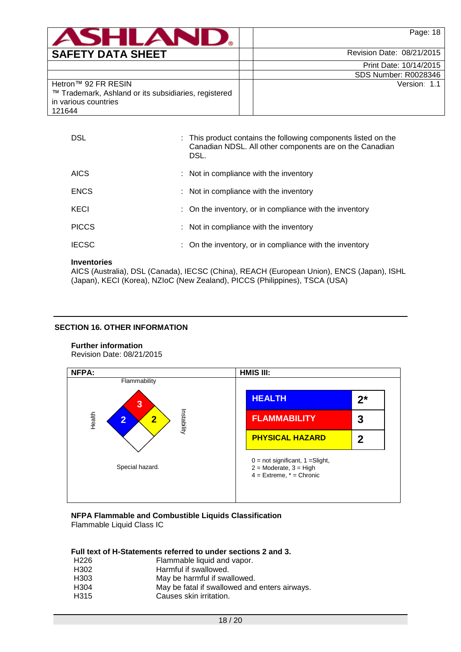| <b>SAFETY DATA SHEET</b> |  |
|--------------------------|--|

Version: 1.1

Revision Date: 08/21/2015

Print Date: 10/14/2015 SDS Number: R0028346

| Hetron™ 92 FR RESIN                                  |
|------------------------------------------------------|
| ™ Trademark, Ashland or its subsidiaries, registered |
| in various countries                                 |
| 121644                                               |

| : This product contains the following components listed on the<br>Canadian NDSL. All other components are on the Canadian |
|---------------------------------------------------------------------------------------------------------------------------|
|                                                                                                                           |
|                                                                                                                           |
| : On the inventory, or in compliance with the inventory                                                                   |
|                                                                                                                           |
| : On the inventory, or in compliance with the inventory                                                                   |
|                                                                                                                           |

## **Inventories**

AICS (Australia), DSL (Canada), IECSC (China), REACH (European Union), ENCS (Japan), ISHL (Japan), KECI (Korea), NZIoC (New Zealand), PICCS (Philippines), TSCA (USA)

## **SECTION 16. OTHER INFORMATION**

# **Further information**

Revision Date: 08/21/2015



## **NFPA Flammable and Combustible Liquids Classification** Flammable Liquid Class IC

## **Full text of H-Statements referred to under sections 2 and 3.**

| H226 | Flammable liquid and vapor.                   |
|------|-----------------------------------------------|
| H302 | Harmful if swallowed.                         |
| H303 | May be harmful if swallowed.                  |
| H304 | May be fatal if swallowed and enters airways. |
| H315 | Causes skin irritation.                       |
|      |                                               |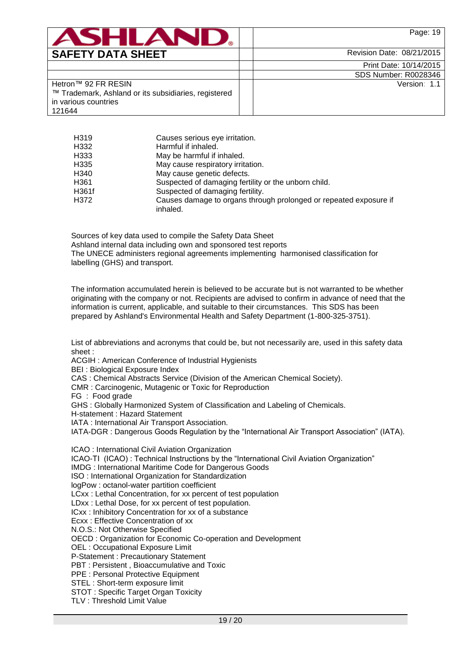

Print Date: 10/14/2015 SDS Number: R0028346

Version: 1.1

| Hetron™ 92 FR RESIN                                  |
|------------------------------------------------------|
| ™ Trademark, Ashland or its subsidiaries, registered |
| in various countries                                 |
| 121644                                               |

| H <sub>319</sub> | Causes serious eye irritation.                                                |
|------------------|-------------------------------------------------------------------------------|
| H332             | Harmful if inhaled.                                                           |
| H333             | May be harmful if inhaled.                                                    |
| H335             | May cause respiratory irritation.                                             |
| H340             | May cause genetic defects.                                                    |
| H361             | Suspected of damaging fertility or the unborn child.                          |
| H361f            | Suspected of damaging fertility.                                              |
| H372             | Causes damage to organs through prolonged or repeated exposure if<br>inhaled. |

Sources of key data used to compile the Safety Data Sheet Ashland internal data including own and sponsored test reports The UNECE administers regional agreements implementing harmonised classification for labelling (GHS) and transport.

The information accumulated herein is believed to be accurate but is not warranted to be whether originating with the company or not. Recipients are advised to confirm in advance of need that the information is current, applicable, and suitable to their circumstances. This SDS has been prepared by Ashland's Environmental Health and Safety Department (1-800-325-3751).

List of abbreviations and acronyms that could be, but not necessarily are, used in this safety data sheet :

ACGIH : American Conference of Industrial Hygienists

BEI : Biological Exposure Index

CAS : Chemical Abstracts Service (Division of the American Chemical Society).

CMR : Carcinogenic, Mutagenic or Toxic for Reproduction

FG : Food grade

GHS : Globally Harmonized System of Classification and Labeling of Chemicals.

H-statement : Hazard Statement

IATA : International Air Transport Association.

IATA-DGR : Dangerous Goods Regulation by the "International Air Transport Association" (IATA).

ICAO : International Civil Aviation Organization

ICAO-TI (ICAO) : Technical Instructions by the "International Civil Aviation Organization"

IMDG : International Maritime Code for Dangerous Goods

ISO : International Organization for Standardization

logPow : octanol-water partition coefficient

LCxx : Lethal Concentration, for xx percent of test population

LDxx : Lethal Dose, for xx percent of test population.

ICxx : Inhibitory Concentration for xx of a substance

Ecxx : Effective Concentration of xx

N.O.S.: Not Otherwise Specified

OECD : Organization for Economic Co-operation and Development

OEL : Occupational Exposure Limit

P-Statement : Precautionary Statement

PBT : Persistent , Bioaccumulative and Toxic

PPE : Personal Protective Equipment

STEL : Short-term exposure limit

STOT : Specific Target Organ Toxicity

TLV : Threshold Limit Value